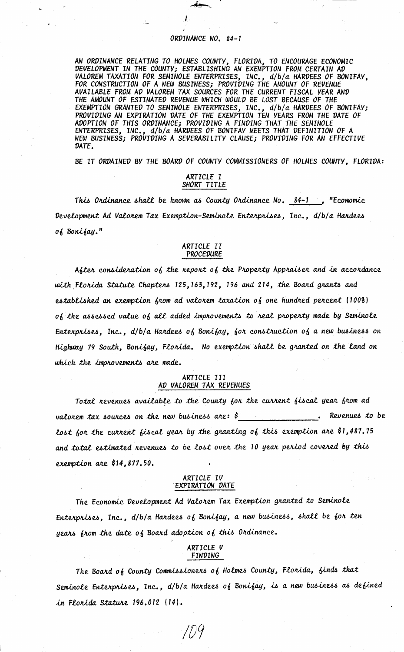#### ORDINANCE NO. 84-1

AN ORDINANCE RELATING TO HOLMES COUNTY, FLORIDA, TO ENCOURAGE ECONOMIC<br>DEVELOPMENT IN THE COUNTY; ESTABLISHING AN EXEMPTION FROM CERTAIN AD VALOREM TAXATION FOR SEMINOLE ENTERPRISES, INC., d/b/a HARDEES OF BONIFAY, FOR CONSTRUCTION OF A NEW BUSINESS; PROVIDING THE AMOUNT OF REVENUE AVAILABLE FROM AD VALOREM TAX SOURCES FOR THE CURRENT FISCAL VEAR AND THE AMOUNT OF ESTIMATED REVENUE WHICH WOULD BE LOST BECAUSE OF THE EXEMPTION GRANTED TO SEMINOLE ENTERPRISES, INC., d/b/a HARDEES OF BONIFAY; PROVIDING AN EXPIRATION DATE OF THE EXEMPTION TEN VEARS FROM THE DATE OF ADOPTION OF THIS ORDINANCE; PROVIDING A FINDING THAT THE SEMINOLE , INC., d/b/a HARDEES OF BONIFAY MEETS THAT DEFINITION OF A ENTERPRISES. NEW BUSINESS; PROVIDING A SEVERABILITY CLAUSE; PROVIDING FOR AN EFFECTIVE DATE.

BE IT ORDAINED BY THE BOARD OF COUNTY COMMISSIONERS OF HOLMES COUNTY, FLORIDA:

## ARTICLE I SHORT TITLE

This Ordinance shall be known as County Ordinance No.  $84-1$ , "Economic Development Ad Valorem Tax Exemption-Seminole Enterprises. Inc., d/b/a Hardees of Bonifay."

## ARTICLE II<br>PROCEDURE

After consideration of the report of the Property Appraiser and in accordance with Florida Statute Chapters 125, 163, 192, 196 and 214, the Board grants and established an exemption from ad valorem taxation of one hundred percent (100%) of the assessed value of all added improvements to real property made by Seminole Enterprises, Inc.,  $d/b/a$  Hardees of Bonifay, for construction of a new business on Highway 79 South, Bonifay, Florida. No exemption shall be granted on the land on which the improvements are made.

#### ARTICLE III AD VALOREM TAX REVENUES

Total nevenues available to the County for the current fiscal year from ad valorem tax sources on the new business are:  $\zeta$ . Revenues to be lost for the current fiscal year by the granting of this exemption are \$1,487.75 and total estimated revenues to be lost over the 10 year period covered by this exemption are \$14,877,50.

#### ARTICLE IV EXPIRATION DATE

The Economic Development Ad Valorem Tax Exemption granted to Seminole Enterprises, Inc., d/b/a Hardees of Bonifay, a new business, shall be for ten years from the date of Board adoption of this Ordinance.

#### ARTICLE V FINDING

The Board of County Commissioners of Holmes County, Florida, finds that Seminole Enterprises, Inc., d/b/a Hardees of Bonifay, is a new business as defined in Florida Stature 196.012 (14).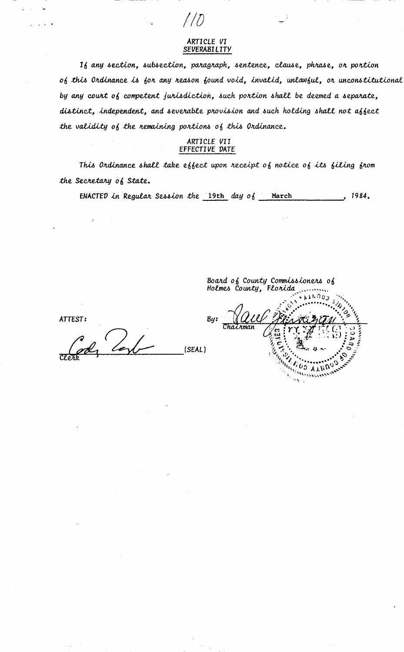### ARTICLE VI **SEVERABILITY**

16 any section, subsection, paragraph, sentence, clause, phrase, or portion of this Ordinance is for any reason found void, invalid, unlawful, or unconstitutional by any court of competent jurisdiction, such portion shall be deemed a separate, distinct, independent, and severable provision and such holding shall not affect the validity of the nemaining portions of this Ordinance.

# ARTICLE VII<br>EFFECTIVE DATE

This Ordinance shall take effect upon receipt of notice of its filing from the Secretary of State.

 $, 1984.$ ENACTED in Regular Session the  $19th$  day of March

Board of County Commissioners of<br>Holmes County, Florida 1. O c  $B<sub>4</sub>$ ガエガ

ATTEST:

(SEAL)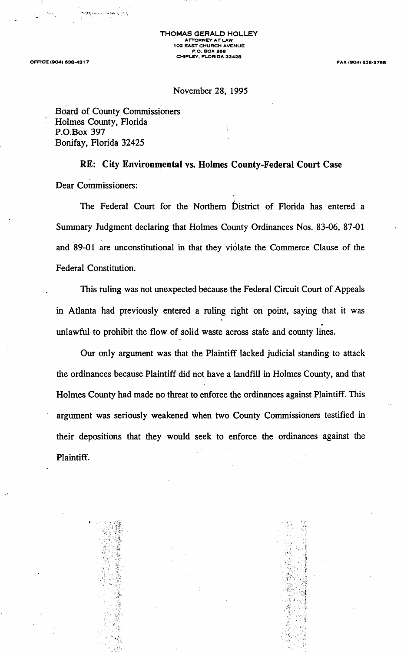**OFFICE (904) 938-4317** 

**FAX (9041 638°3768** 

## November 28, 1995

Board of County Commissioners Holmes County, Florida P.O.Box 397 Bonifay, Florida 32425

**RE: City Environmental vs. Holmes County-Federal Court Case**  Dear Commissioners:

The Federal Court for the Northern bistrict of Florida has entered a Summary Judgment declaring that Holmes County Ordinances Nos. 83-06, 87-01 and 89-01 are unconstitutional in that they violate the Commerce Clause of the Federal Constitution.

This ruling was not unexpected because the Federal Circuit Court of Appeals m Atlanta had previously entered a ruling right on point, saying that it was . unlawful to prohibit the flow of solid waste across state and county lines.

Our only argument was that the Plaintiff lacked judicial standing to attack the ordinances because Plaintiff did not have a landfill in Holmes County, and that Holmes County had made no threat to enforce the ordinances against Plaintiff. This argument was seriously weakened when two County Commissioners testified in their depositions that they would seek to enforce the ordinances against the Plaintiff.